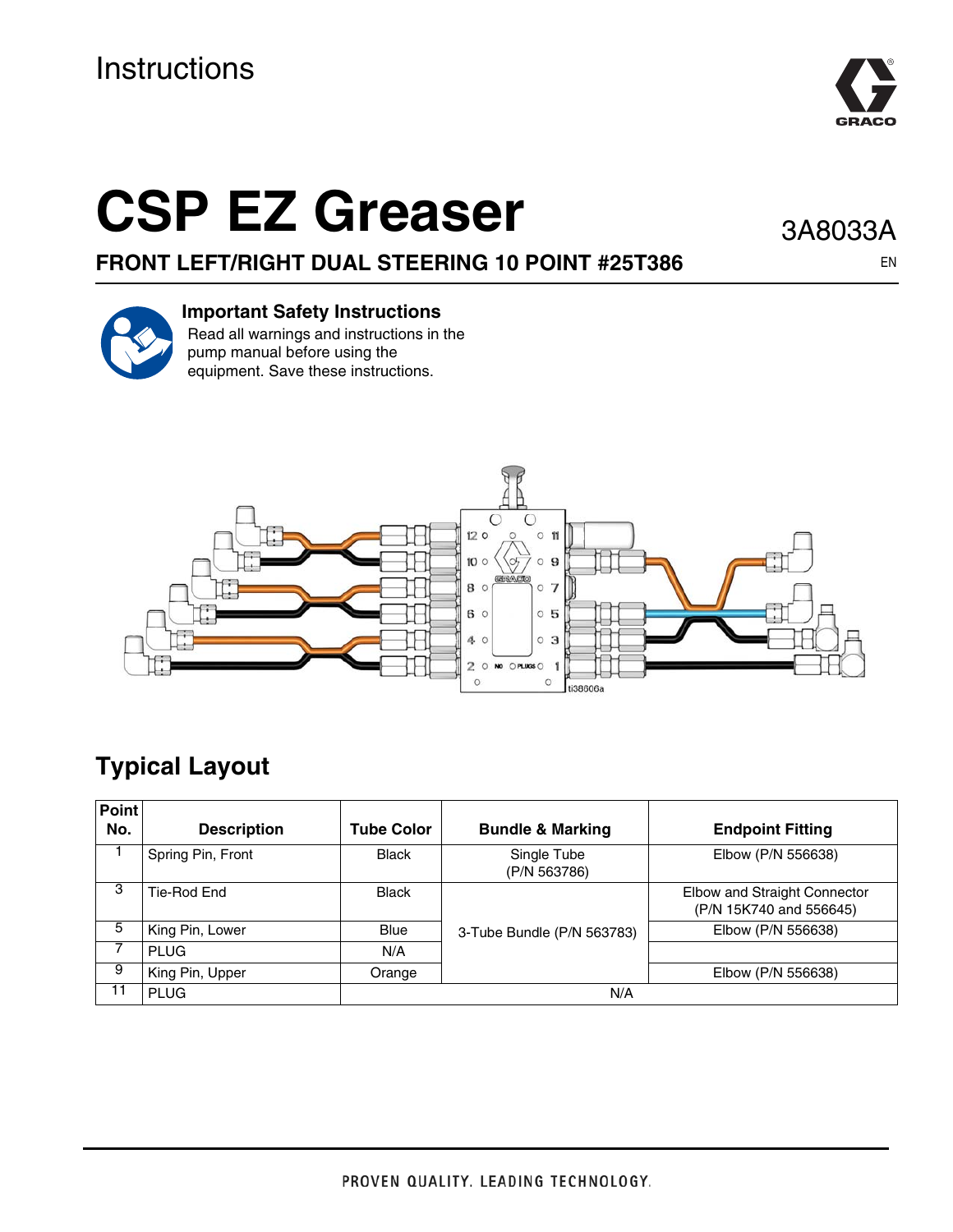# **Instructions**



# **CSP EZ Greaser**

**FRONT LEFT/RIGHT DUAL STEERING 10 POINT #25T386**

3A8033A

EN



#### **Important Safety Instructions**

Read all warnings and instructions in the pump manual before using the equipment. Save these instructions.



## **Typical Layout**

| <b>Point</b> |                    |                   |                             |                                                         |  |
|--------------|--------------------|-------------------|-----------------------------|---------------------------------------------------------|--|
| No.          | <b>Description</b> | <b>Tube Color</b> | <b>Bundle &amp; Marking</b> | <b>Endpoint Fitting</b>                                 |  |
|              | Spring Pin, Front  | <b>Black</b>      | Single Tube<br>(P/N 563786) | Elbow (P/N 556638)                                      |  |
| -3           | Tie-Rod End        | <b>Black</b>      |                             | Elbow and Straight Connector<br>(P/N 15K740 and 556645) |  |
| 5            | King Pin, Lower    | <b>Blue</b>       | 3-Tube Bundle (P/N 563783)  | Elbow (P/N 556638)                                      |  |
|              | <b>PLUG</b>        | N/A               |                             |                                                         |  |
| 9            | King Pin, Upper    | Orange            |                             | Elbow (P/N 556638)                                      |  |
| 11           | <b>PLUG</b>        | N/A               |                             |                                                         |  |